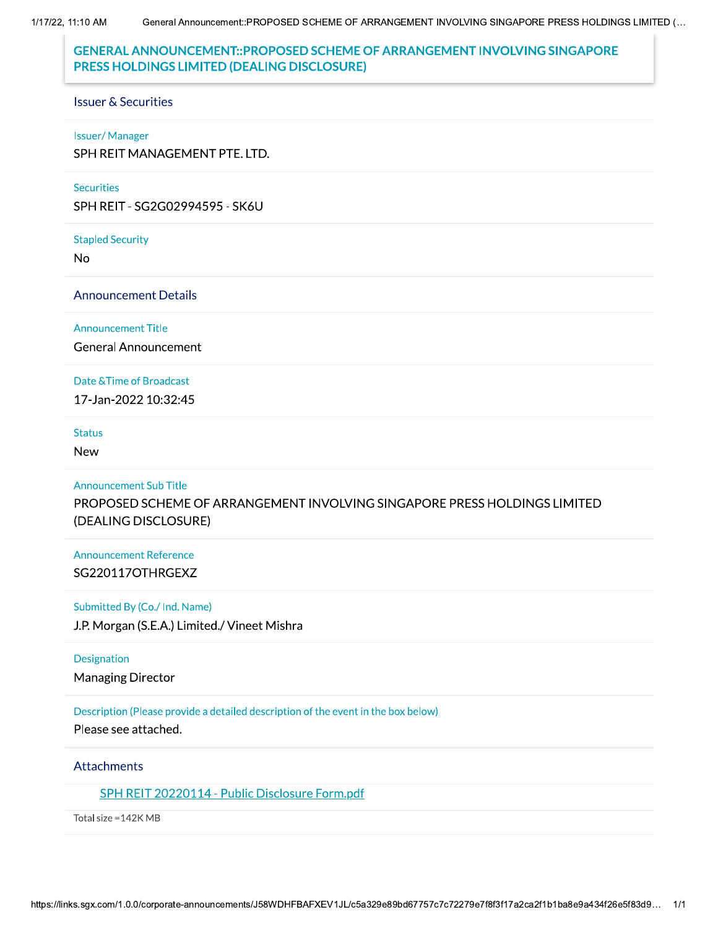1/17/22, 11:10 AM

# **GENERAL ANNOUNCEMENT::PROPOSED SCHEME OF ARRANGEMENT INVOLVING SINGAPORE** PRESS HOLDINGS LIMITED (DEALING DISCLOSURE)

### **Issuer & Securities**

### **Issuer/Manager**

SPH REIT MANAGEMENT PTE. LTD.

### **Securities**

SPH REIT - SG2G02994595 - SK6U

#### **Stapled Security**

No

### **Announcement Details**

**Announcement Title** 

**General Announcement** 

### Date & Time of Broadcast

17-Jan-2022 10:32:45

### **Status**

**New** 

#### **Announcement Sub Title**

PROPOSED SCHEME OF ARRANGEMENT INVOLVING SINGAPORE PRESS HOLDINGS LIMITED (DEALING DISCLOSURE)

## **Announcement Reference** SG220117OTHRGEXZ

### Submitted By (Co./ Ind. Name)

J.P. Morgan (S.E.A.) Limited./ Vineet Mishra

### **Designation**

**Managing Director** 

## Description (Please provide a detailed description of the event in the box below)

Please see attached.

## Attachments

## SPH REIT 20220114 - Public Disclosure Form.pdf

Total size = 142K MB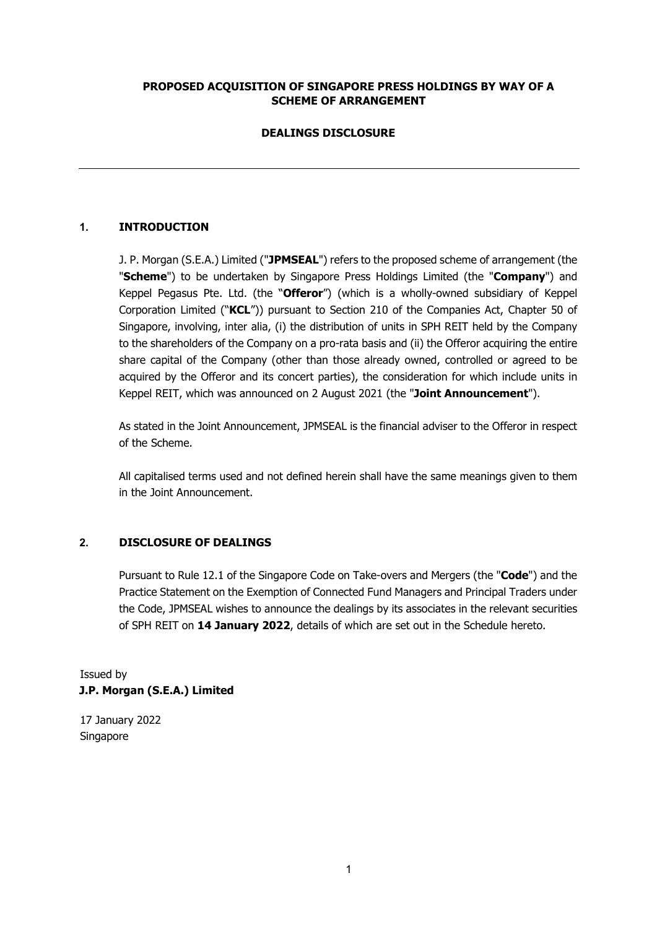## **PROPOSED ACQUISITION OF SINGAPORE PRESS HOLDINGS BY WAY OF A SCHEME OF ARRANGEMENT**

## **DEALINGS DISCLOSURE**

## **1. INTRODUCTION**

J. P. Morgan (S.E.A.) Limited ("**JPMSEAL**") refers to the proposed scheme of arrangement (the "**Scheme**") to be undertaken by Singapore Press Holdings Limited (the "**Company**") and Keppel Pegasus Pte. Ltd. (the "**Offeror**") (which is a wholly-owned subsidiary of Keppel Corporation Limited ("**KCL**")) pursuant to Section 210 of the Companies Act, Chapter 50 of Singapore, involving, inter alia, (i) the distribution of units in SPH REIT held by the Company to the shareholders of the Company on a pro-rata basis and (ii) the Offeror acquiring the entire share capital of the Company (other than those already owned, controlled or agreed to be acquired by the Offeror and its concert parties), the consideration for which include units in Keppel REIT, which was announced on 2 August 2021 (the "**Joint Announcement**").

As stated in the Joint Announcement, JPMSEAL is the financial adviser to the Offeror in respect of the Scheme.

All capitalised terms used and not defined herein shall have the same meanings given to them in the Joint Announcement.

### **2. DISCLOSURE OF DEALINGS**

Pursuant to Rule 12.1 of the Singapore Code on Take-overs and Mergers (the "**Code**") and the Practice Statement on the Exemption of Connected Fund Managers and Principal Traders under the Code, JPMSEAL wishes to announce the dealings by its associates in the relevant securities of SPH REIT on **14 January 2022**, details of which are set out in the Schedule hereto.

Issued by **J.P. Morgan (S.E.A.) Limited** 

17 January 2022 Singapore